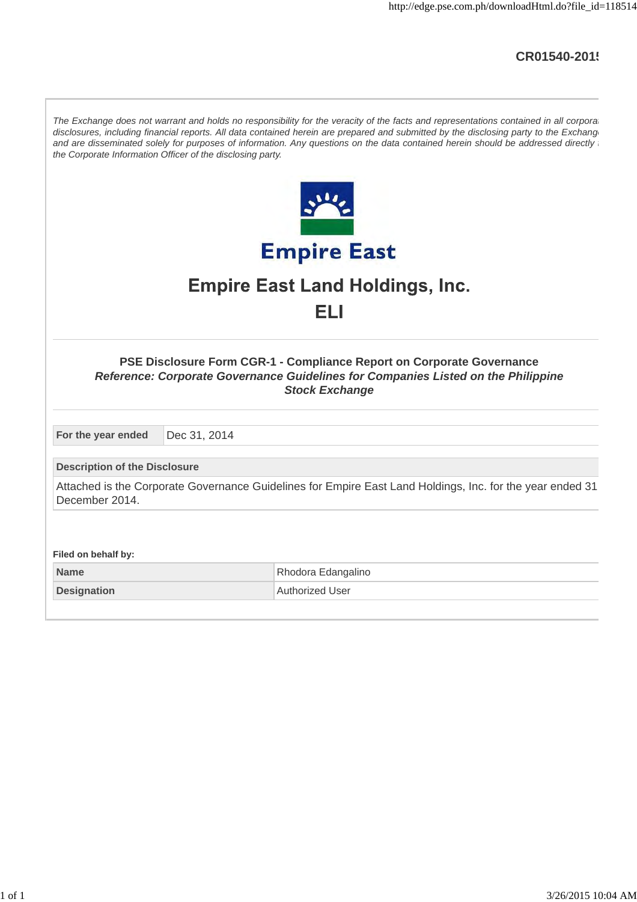## **CR01540-2015**

| The Exchange does not warrant and holds no responsibility for the veracity of the facts and representations contained in all corporal<br>disclosures, including financial reports. All data contained herein are prepared and submitted by the disclosing party to the Exchang<br>and are disseminated solely for purposes of information. Any questions on the data contained herein should be addressed directly<br>the Corporate Information Officer of the disclosing party. |                                                                                                           |  |  |
|----------------------------------------------------------------------------------------------------------------------------------------------------------------------------------------------------------------------------------------------------------------------------------------------------------------------------------------------------------------------------------------------------------------------------------------------------------------------------------|-----------------------------------------------------------------------------------------------------------|--|--|
|                                                                                                                                                                                                                                                                                                                                                                                                                                                                                  |                                                                                                           |  |  |
|                                                                                                                                                                                                                                                                                                                                                                                                                                                                                  | <b>Empire East</b>                                                                                        |  |  |
|                                                                                                                                                                                                                                                                                                                                                                                                                                                                                  | <b>Empire East Land Holdings, Inc.</b>                                                                    |  |  |
|                                                                                                                                                                                                                                                                                                                                                                                                                                                                                  | ELI                                                                                                       |  |  |
|                                                                                                                                                                                                                                                                                                                                                                                                                                                                                  |                                                                                                           |  |  |
| <b>PSE Disclosure Form CGR-1 - Compliance Report on Corporate Governance</b><br>Reference: Corporate Governance Guidelines for Companies Listed on the Philippine<br><b>Stock Exchange</b>                                                                                                                                                                                                                                                                                       |                                                                                                           |  |  |
| For the year ended<br>Dec 31, 2014                                                                                                                                                                                                                                                                                                                                                                                                                                               |                                                                                                           |  |  |
| <b>Description of the Disclosure</b>                                                                                                                                                                                                                                                                                                                                                                                                                                             |                                                                                                           |  |  |
| December 2014.                                                                                                                                                                                                                                                                                                                                                                                                                                                                   | Attached is the Corporate Governance Guidelines for Empire East Land Holdings, Inc. for the year ended 31 |  |  |
|                                                                                                                                                                                                                                                                                                                                                                                                                                                                                  |                                                                                                           |  |  |
| Filed on behalf by:                                                                                                                                                                                                                                                                                                                                                                                                                                                              |                                                                                                           |  |  |
| <b>Name</b>                                                                                                                                                                                                                                                                                                                                                                                                                                                                      | Rhodora Edangalino                                                                                        |  |  |
| <b>Designation</b>                                                                                                                                                                                                                                                                                                                                                                                                                                                               | <b>Authorized User</b>                                                                                    |  |  |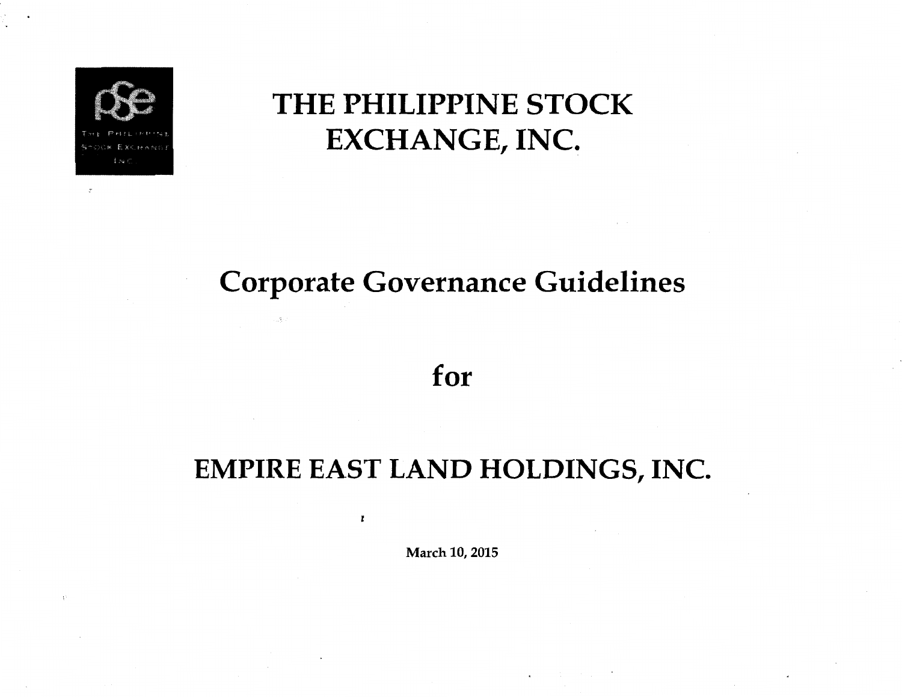

# THE PHILIPPINE STOCK EXCHANGE, INC.

# Corporate Governance Guidelines

for

# EMPIRE EAST LAND HOLDINGS, INC.

March 10, 2015

l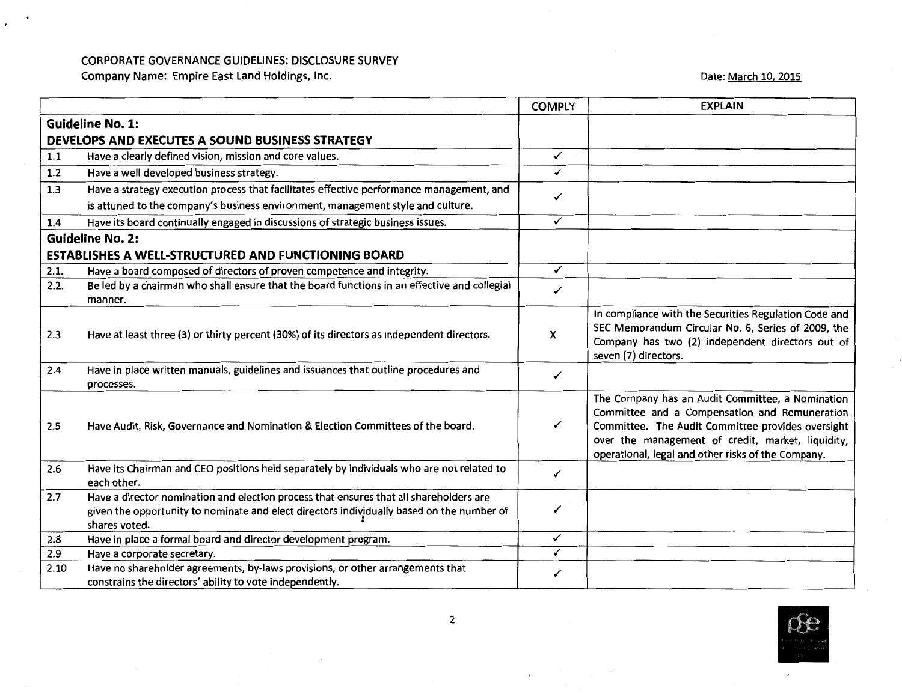#### CORPORATE GOVERNANCE GUIDELINES: DISCLOSURE SURVEY

Company Name: Empire East Land Holdings, Inc.

Date: <u>March 10, 2015</u>

|      |                                                                                                                                                                                                      | <b>COMPLY</b> | <b>EXPLAIN</b>                                                                                                                                                                                                                                                    |
|------|------------------------------------------------------------------------------------------------------------------------------------------------------------------------------------------------------|---------------|-------------------------------------------------------------------------------------------------------------------------------------------------------------------------------------------------------------------------------------------------------------------|
|      | <b>Guideline No. 1:</b>                                                                                                                                                                              |               |                                                                                                                                                                                                                                                                   |
|      | DEVELOPS AND EXECUTES A SOUND BUSINESS STRATEGY                                                                                                                                                      |               |                                                                                                                                                                                                                                                                   |
| 1.1  | Have a clearly defined vision, mission and core values.                                                                                                                                              | ✓             |                                                                                                                                                                                                                                                                   |
| 1.2  | Have a well developed business strategy.                                                                                                                                                             | ✓             |                                                                                                                                                                                                                                                                   |
| 1.3  | Have a strategy execution process that facilitates effective performance management, and                                                                                                             |               |                                                                                                                                                                                                                                                                   |
|      | is attuned to the company's business environment, management style and culture.                                                                                                                      | ✓             |                                                                                                                                                                                                                                                                   |
| 1.4  | Have its board continually engaged in discussions of strategic business issues.                                                                                                                      | ✓             |                                                                                                                                                                                                                                                                   |
|      | <b>Guideline No. 2:</b>                                                                                                                                                                              |               |                                                                                                                                                                                                                                                                   |
|      | <b>ESTABLISHES A WELL-STRUCTURED AND FUNCTIONING BOARD</b>                                                                                                                                           |               |                                                                                                                                                                                                                                                                   |
| 2.1. | Have a board composed of directors of proven competence and integrity.                                                                                                                               | ✓             |                                                                                                                                                                                                                                                                   |
| 2.2. | Be led by a chairman who shall ensure that the board functions in an effective and collegial                                                                                                         | ✓             |                                                                                                                                                                                                                                                                   |
|      | manner.                                                                                                                                                                                              |               |                                                                                                                                                                                                                                                                   |
| 2.3  | Have at least three (3) or thirty percent (30%) of its directors as independent directors.                                                                                                           | x             | In compliance with the Securities Regulation Code and<br>SEC Memorandum Circular No. 6, Series of 2009, the<br>Company has two (2) independent directors out of<br>seven (7) directors.                                                                           |
| 2.4  | Have in place written manuals, guidelines and issuances that outline procedures and                                                                                                                  | ✓             |                                                                                                                                                                                                                                                                   |
|      | processes.                                                                                                                                                                                           |               |                                                                                                                                                                                                                                                                   |
| 2.5  | Have Audit, Risk, Governance and Nomination & Election Committees of the board.                                                                                                                      | ✓             | The Company has an Audit Committee, a Nomination<br>Committee and a Compensation and Remuneration<br>Committee. The Audit Committee provides oversight<br>over the management of credit, market, liquidity,<br>operational, legal and other risks of the Company. |
| 2.6  | Have its Chairman and CEO positions held separately by individuals who are not related to<br>each other.                                                                                             | ✓             |                                                                                                                                                                                                                                                                   |
| 2.7  | Have a director nomination and election process that ensures that all shareholders are<br>given the opportunity to nominate and elect directors individually based on the number of<br>shares voted. | ✓             |                                                                                                                                                                                                                                                                   |
| 2.8  | Have in place a formal board and director development program.                                                                                                                                       | ✓             |                                                                                                                                                                                                                                                                   |
| 2.9  | Have a corporate secretary.                                                                                                                                                                          | ✓             |                                                                                                                                                                                                                                                                   |
| 2.10 | Have no shareholder agreements, by-laws provisions, or other arrangements that<br>constrains the directors' ability to vote independently.                                                           | ✓             |                                                                                                                                                                                                                                                                   |

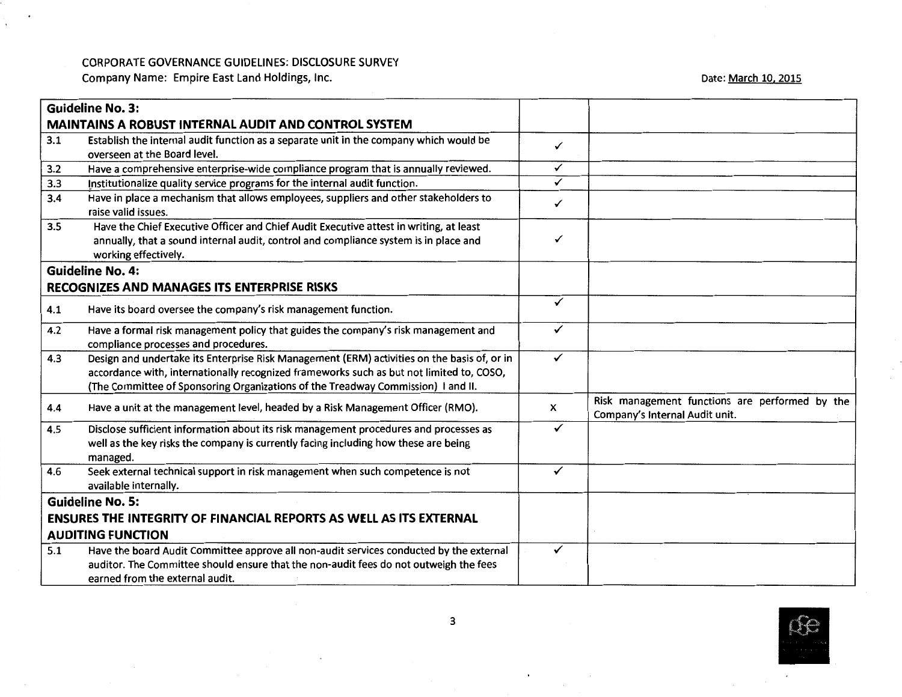#### CORPORATE GOVERNANCE GUIDELINES: DISCLOSURE SURVEY

Company Name: Empire East land Holdings, Inc.

 $\bullet$ 

 $\ddot{\phantom{0}}$ 

Date: March 10, 2015

|     | <b>Guideline No. 3:</b>                                                                                                                                                                                                                                                     |              |                                                                                  |
|-----|-----------------------------------------------------------------------------------------------------------------------------------------------------------------------------------------------------------------------------------------------------------------------------|--------------|----------------------------------------------------------------------------------|
|     | <b>MAINTAINS A ROBUST INTERNAL AUDIT AND CONTROL SYSTEM</b>                                                                                                                                                                                                                 |              |                                                                                  |
| 3.1 | Establish the internal audit function as a separate unit in the company which would be<br>overseen at the Board level.                                                                                                                                                      | ✓            |                                                                                  |
| 3.2 | Have a comprehensive enterprise-wide compliance program that is annually reviewed.                                                                                                                                                                                          | ✓            |                                                                                  |
| 3.3 | Institutionalize quality service programs for the internal audit function.                                                                                                                                                                                                  | ✓            |                                                                                  |
| 3.4 | Have in place a mechanism that allows employees, suppliers and other stakeholders to<br>raise valid issues.                                                                                                                                                                 | ✓            |                                                                                  |
| 3.5 | Have the Chief Executive Officer and Chief Audit Executive attest in writing, at least<br>annually, that a sound internal audit, control and compliance system is in place and<br>working effectively.                                                                      | ✓            |                                                                                  |
|     | <b>Guideline No. 4:</b>                                                                                                                                                                                                                                                     |              |                                                                                  |
|     | <b>RECOGNIZES AND MANAGES ITS ENTERPRISE RISKS</b>                                                                                                                                                                                                                          |              |                                                                                  |
| 4.1 | Have its board oversee the company's risk management function.                                                                                                                                                                                                              | ✓            |                                                                                  |
| 4.2 | Have a formal risk management policy that guides the company's risk management and<br>compliance processes and procedures.                                                                                                                                                  | ✓            |                                                                                  |
| 4.3 | Design and undertake its Enterprise Risk Management (ERM) activities on the basis of, or in<br>accordance with, internationally recognized frameworks such as but not limited to, COSO,<br>(The Committee of Sponsoring Organizations of the Treadway Commission) I and II. | $\checkmark$ |                                                                                  |
| 4.4 | Have a unit at the management level, headed by a Risk Management Officer (RMO).                                                                                                                                                                                             | X            | Risk management functions are performed by the<br>Company's Internal Audit unit. |
| 4.5 | Disclose sufficient information about its risk management procedures and processes as<br>well as the key risks the company is currently facing including how these are being<br>managed.                                                                                    | ✓            |                                                                                  |
| 4.6 | Seek external technical support in risk management when such competence is not<br>available internally.                                                                                                                                                                     | ✓            |                                                                                  |
|     | <b>Guideline No. 5:</b>                                                                                                                                                                                                                                                     |              |                                                                                  |
|     | <b>ENSURES THE INTEGRITY OF FINANCIAL REPORTS AS WELL AS ITS EXTERNAL</b>                                                                                                                                                                                                   |              |                                                                                  |
|     | <b>AUDITING FUNCTION</b>                                                                                                                                                                                                                                                    |              |                                                                                  |
| 5.1 | Have the board Audit Committee approve all non-audit services conducted by the external                                                                                                                                                                                     | ✓            |                                                                                  |
|     | auditor. The Committee should ensure that the non-audit fees do not outweigh the fees                                                                                                                                                                                       |              |                                                                                  |
|     | earned from the external audit.                                                                                                                                                                                                                                             |              |                                                                                  |



 $\mathcal{L}_{\rm{max}}$ 

 $\bullet$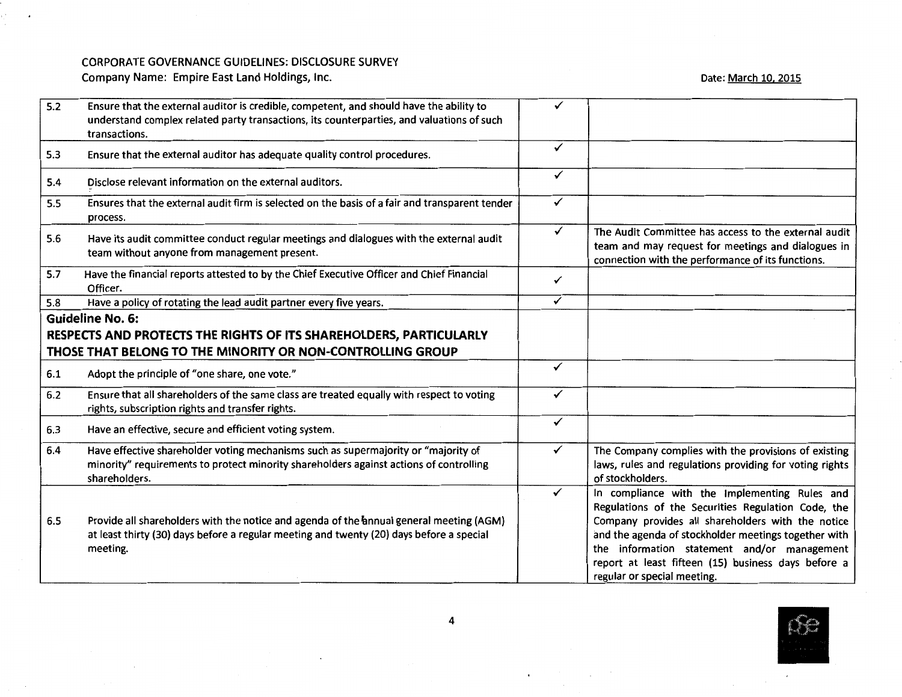$\cdot$ 

Date: <u>March 10, 2015</u>

| 5.2 | Ensure that the external auditor is credible, competent, and should have the ability to<br>understand complex related party transactions, its counterparties, and valuations of such<br>transactions. | ✓            |                                                                                                                                                                                                                                                                                                                                                       |
|-----|-------------------------------------------------------------------------------------------------------------------------------------------------------------------------------------------------------|--------------|-------------------------------------------------------------------------------------------------------------------------------------------------------------------------------------------------------------------------------------------------------------------------------------------------------------------------------------------------------|
| 5.3 | Ensure that the external auditor has adequate quality control procedures.                                                                                                                             | $\checkmark$ |                                                                                                                                                                                                                                                                                                                                                       |
| 5.4 | Disclose relevant information on the external auditors.                                                                                                                                               | $\checkmark$ |                                                                                                                                                                                                                                                                                                                                                       |
| 5.5 | Ensures that the external audit firm is selected on the basis of a fair and transparent tender<br>process.                                                                                            | $\checkmark$ |                                                                                                                                                                                                                                                                                                                                                       |
| 5.6 | Have its audit committee conduct regular meetings and dialogues with the external audit<br>team without anyone from management present.                                                               | $\checkmark$ | The Audit Committee has access to the external audit<br>team and may request for meetings and dialogues in<br>connection with the performance of its functions.                                                                                                                                                                                       |
| 5.7 | Have the financial reports attested to by the Chief Executive Officer and Chief Financial<br>Officer.                                                                                                 | ✓            |                                                                                                                                                                                                                                                                                                                                                       |
| 5.8 | Have a policy of rotating the lead audit partner every five years.                                                                                                                                    | ✓            |                                                                                                                                                                                                                                                                                                                                                       |
|     | <b>Guideline No. 6:</b>                                                                                                                                                                               |              |                                                                                                                                                                                                                                                                                                                                                       |
|     | RESPECTS AND PROTECTS THE RIGHTS OF ITS SHAREHOLDERS, PARTICULARLY                                                                                                                                    |              |                                                                                                                                                                                                                                                                                                                                                       |
|     | THOSE THAT BELONG TO THE MINORITY OR NON-CONTROLLING GROUP                                                                                                                                            |              |                                                                                                                                                                                                                                                                                                                                                       |
| 6.1 | Adopt the principle of "one share, one vote."                                                                                                                                                         | ✓            |                                                                                                                                                                                                                                                                                                                                                       |
| 6.2 | Ensure that all shareholders of the same class are treated equally with respect to voting<br>rights, subscription rights and transfer rights.                                                         | $\checkmark$ |                                                                                                                                                                                                                                                                                                                                                       |
| 6.3 | Have an effective, secure and efficient voting system.                                                                                                                                                | $\checkmark$ |                                                                                                                                                                                                                                                                                                                                                       |
| 6.4 | Have effective shareholder voting mechanisms such as supermajority or "majority of<br>minority" requirements to protect minority shareholders against actions of controlling<br>shareholders.         | $\checkmark$ | The Company complies with the provisions of existing<br>laws, rules and regulations providing for voting rights<br>of stockholders.                                                                                                                                                                                                                   |
| 6.5 | Provide all shareholders with the notice and agenda of the annual general meeting (AGM)<br>at least thirty (30) days before a regular meeting and twenty (20) days before a special<br>meeting.       | $\checkmark$ | In compliance with the Implementing Rules and<br>Regulations of the Securities Regulation Code, the<br>Company provides all shareholders with the notice<br>and the agenda of stockholder meetings together with<br>the information statement and/or management<br>report at least fifteen (15) business days before a<br>regular or special meeting. |



 $\epsilon$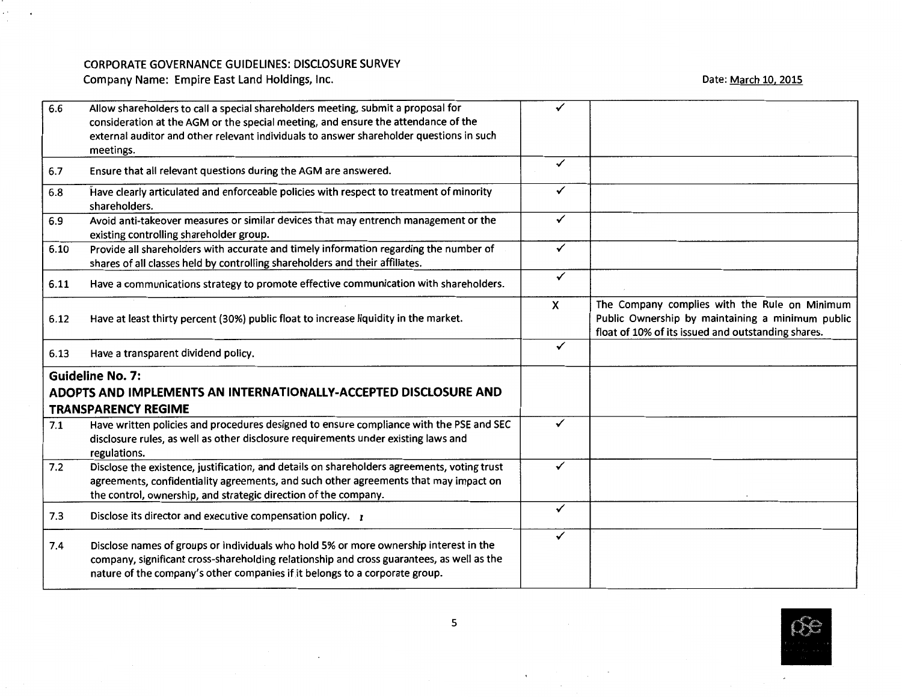$\star$ 

 $\sim$ 

Date: <u>March 10, 2015</u>

| 6.6  | Allow shareholders to call a special shareholders meeting, submit a proposal for<br>consideration at the AGM or the special meeting, and ensure the attendance of the<br>external auditor and other relevant individuals to answer shareholder questions in such<br>meetings. | ✓                         |                                                                                                                                                         |
|------|-------------------------------------------------------------------------------------------------------------------------------------------------------------------------------------------------------------------------------------------------------------------------------|---------------------------|---------------------------------------------------------------------------------------------------------------------------------------------------------|
| 6.7  | Ensure that all relevant questions during the AGM are answered.                                                                                                                                                                                                               | $\checkmark$              |                                                                                                                                                         |
| 6.8  | Have clearly articulated and enforceable policies with respect to treatment of minority<br>shareholders.                                                                                                                                                                      | $\checkmark$              |                                                                                                                                                         |
| 6.9  | Avoid anti-takeover measures or similar devices that may entrench management or the<br>existing controlling shareholder group.                                                                                                                                                | $\checkmark$              |                                                                                                                                                         |
| 6.10 | Provide all shareholders with accurate and timely information regarding the number of<br>shares of all classes held by controlling shareholders and their affiliates.                                                                                                         | $\checkmark$              |                                                                                                                                                         |
| 6.11 | Have a communications strategy to promote effective communication with shareholders.                                                                                                                                                                                          | $\checkmark$              |                                                                                                                                                         |
| 6.12 | Have at least thirty percent (30%) public float to increase liquidity in the market.                                                                                                                                                                                          | $\boldsymbol{\mathsf{x}}$ | The Company complies with the Rule on Minimum<br>Public Ownership by maintaining a minimum public<br>float of 10% of its issued and outstanding shares. |
| 6.13 | Have a transparent dividend policy.                                                                                                                                                                                                                                           | ✓                         |                                                                                                                                                         |
|      | <b>Guideline No. 7:</b><br>ADOPTS AND IMPLEMENTS AN INTERNATIONALLY-ACCEPTED DISCLOSURE AND<br><b>TRANSPARENCY REGIME</b>                                                                                                                                                     |                           |                                                                                                                                                         |
| 7.1  | Have written policies and procedures designed to ensure compliance with the PSE and SEC<br>disclosure rules, as well as other disclosure requirements under existing laws and<br>regulations.                                                                                 | ✓                         |                                                                                                                                                         |
| 7.2  | Disclose the existence, justification, and details on shareholders agreements, voting trust<br>agreements, confidentiality agreements, and such other agreements that may impact on<br>the control, ownership, and strategic direction of the company.                        | ✓                         |                                                                                                                                                         |
| 7.3  | Disclose its director and executive compensation policy. $r$                                                                                                                                                                                                                  | $\checkmark$              |                                                                                                                                                         |
| 7.4  | Disclose names of groups or individuals who hold 5% or more ownership interest in the<br>company, significant cross-shareholding relationship and cross guarantees, as well as the<br>nature of the company's other companies if it belongs to a corporate group.             | ✓                         |                                                                                                                                                         |

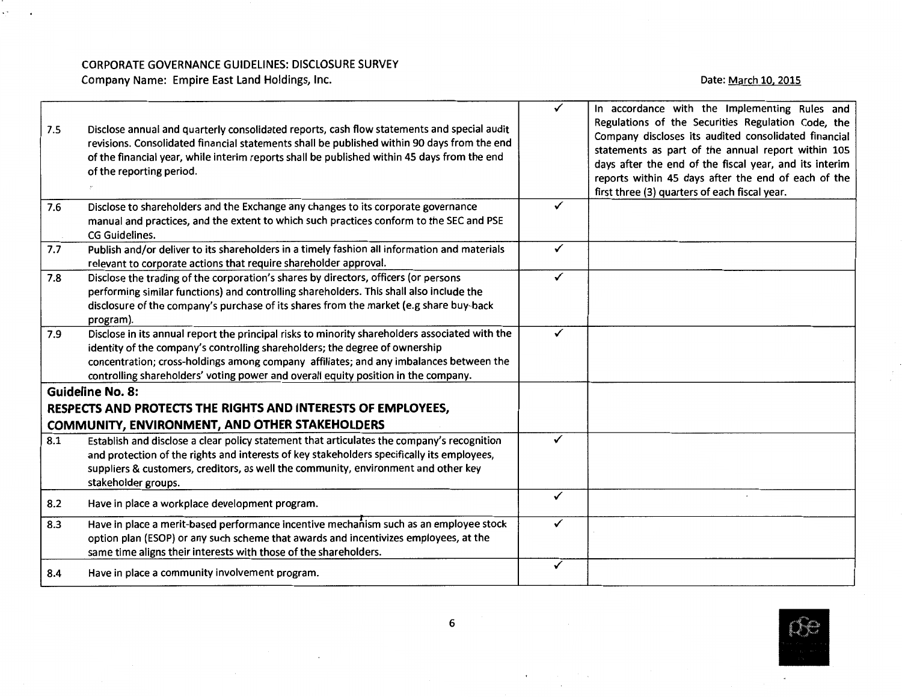$\mathcal{L}^{\text{max}}$  $\sim$ 

#### Date: <u>March 10, 2015</u>

| 7.5 | Disclose annual and quarterly consolidated reports, cash flow statements and special audit<br>revisions. Consolidated financial statements shall be published within 90 days from the end<br>of the financial year, while interim reports shall be published within 45 days from the end<br>of the reporting period.                                          | $\checkmark$ | In accordance with the Implementing Rules and<br>Regulations of the Securities Regulation Code, the<br>Company discloses its audited consolidated financial<br>statements as part of the annual report within 105<br>days after the end of the fiscal year, and its interim<br>reports within 45 days after the end of each of the<br>first three (3) quarters of each fiscal year. |
|-----|---------------------------------------------------------------------------------------------------------------------------------------------------------------------------------------------------------------------------------------------------------------------------------------------------------------------------------------------------------------|--------------|-------------------------------------------------------------------------------------------------------------------------------------------------------------------------------------------------------------------------------------------------------------------------------------------------------------------------------------------------------------------------------------|
| 7.6 | Disclose to shareholders and the Exchange any changes to its corporate governance<br>manual and practices, and the extent to which such practices conform to the SEC and PSE<br>CG Guidelines.                                                                                                                                                                | ✓            |                                                                                                                                                                                                                                                                                                                                                                                     |
| 7.7 | Publish and/or deliver to its shareholders in a timely fashion all information and materials<br>relevant to corporate actions that require shareholder approval.                                                                                                                                                                                              | $\checkmark$ |                                                                                                                                                                                                                                                                                                                                                                                     |
| 7.8 | Disclose the trading of the corporation's shares by directors, officers (or persons<br>performing similar functions) and controlling shareholders. This shall also include the<br>disclosure of the company's purchase of its shares from the market (e.g share buy-back<br>program).                                                                         | ✓            |                                                                                                                                                                                                                                                                                                                                                                                     |
| 7.9 | Disclose in its annual report the principal risks to minority shareholders associated with the<br>identity of the company's controlling shareholders; the degree of ownership<br>concentration; cross-holdings among company affiliates; and any imbalances between the<br>controlling shareholders' voting power and overall equity position in the company. | $\checkmark$ |                                                                                                                                                                                                                                                                                                                                                                                     |
|     | <b>Guideline No. 8:</b>                                                                                                                                                                                                                                                                                                                                       |              |                                                                                                                                                                                                                                                                                                                                                                                     |
|     | RESPECTS AND PROTECTS THE RIGHTS AND INTERESTS OF EMPLOYEES,<br><b>COMMUNITY, ENVIRONMENT, AND OTHER STAKEHOLDERS</b>                                                                                                                                                                                                                                         |              |                                                                                                                                                                                                                                                                                                                                                                                     |
| 8.1 | Establish and disclose a clear policy statement that articulates the company's recognition<br>and protection of the rights and interests of key stakeholders specifically its employees,<br>suppliers & customers, creditors, as well the community, environment and other key<br>stakeholder groups.                                                         | ✓            |                                                                                                                                                                                                                                                                                                                                                                                     |
| 8.2 | Have in place a workplace development program.                                                                                                                                                                                                                                                                                                                | ✓            |                                                                                                                                                                                                                                                                                                                                                                                     |
| 8.3 | Have in place a merit-based performance incentive mechanism such as an employee stock<br>option plan (ESOP) or any such scheme that awards and incentivizes employees, at the<br>same time aligns their interests with those of the shareholders.                                                                                                             | ✓            |                                                                                                                                                                                                                                                                                                                                                                                     |
| 8.4 | Have in place a community involvement program.                                                                                                                                                                                                                                                                                                                | ✓            |                                                                                                                                                                                                                                                                                                                                                                                     |



 $\mathbf{C}$  and  $\mathbf{C}$  and  $\mathbf{C}$ 

 $\sim 100$ 

 $\mathcal{O}(\mathcal{O}(\log n))$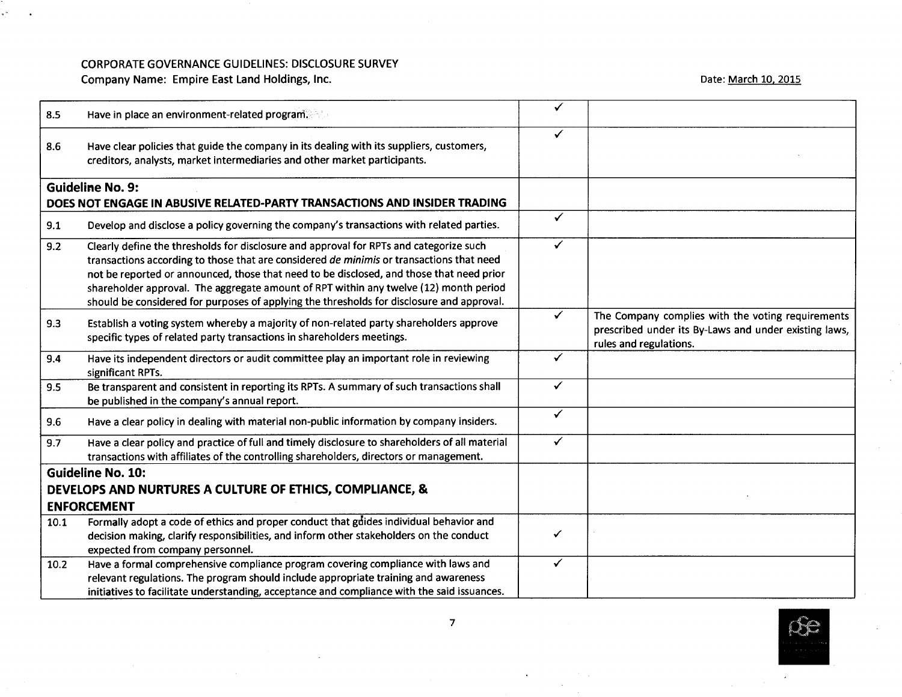### CORPORATE GOVERNANCE GUIDELINES: DISCLOSURE SURVEY

Company Name: Empire East Land Holdings, Inc.

a m

Date: <u>March 10, 2015</u>

| 8.5  | Have in place an environment-related program.                                                                                                                                                                                                                                                                                                                                                                                                                        | ✓            |                                                                                                                                      |
|------|----------------------------------------------------------------------------------------------------------------------------------------------------------------------------------------------------------------------------------------------------------------------------------------------------------------------------------------------------------------------------------------------------------------------------------------------------------------------|--------------|--------------------------------------------------------------------------------------------------------------------------------------|
| 8.6  | Have clear policies that guide the company in its dealing with its suppliers, customers,<br>creditors, analysts, market intermediaries and other market participants.                                                                                                                                                                                                                                                                                                | ✓            |                                                                                                                                      |
|      | <b>Guideline No. 9:</b><br>DOES NOT ENGAGE IN ABUSIVE RELATED-PARTY TRANSACTIONS AND INSIDER TRADING                                                                                                                                                                                                                                                                                                                                                                 |              |                                                                                                                                      |
| 9.1  | Develop and disclose a policy governing the company's transactions with related parties.                                                                                                                                                                                                                                                                                                                                                                             | $\checkmark$ |                                                                                                                                      |
| 9.2  | Clearly define the thresholds for disclosure and approval for RPTs and categorize such<br>transactions according to those that are considered de minimis or transactions that need<br>not be reported or announced, those that need to be disclosed, and those that need prior<br>shareholder approval. The aggregate amount of RPT within any twelve (12) month period<br>should be considered for purposes of applying the thresholds for disclosure and approval. | ✓            |                                                                                                                                      |
| 9.3  | Establish a voting system whereby a majority of non-related party shareholders approve<br>specific types of related party transactions in shareholders meetings.                                                                                                                                                                                                                                                                                                     | $\checkmark$ | The Company complies with the voting requirements<br>prescribed under its By-Laws and under existing laws,<br>rules and regulations. |
| 9.4  | Have its independent directors or audit committee play an important role in reviewing<br>significant RPTs.                                                                                                                                                                                                                                                                                                                                                           | $\checkmark$ |                                                                                                                                      |
| 9.5  | Be transparent and consistent in reporting its RPTs. A summary of such transactions shall<br>be published in the company's annual report.                                                                                                                                                                                                                                                                                                                            | $\checkmark$ |                                                                                                                                      |
| 9.6  | Have a clear policy in dealing with material non-public information by company insiders.                                                                                                                                                                                                                                                                                                                                                                             | $\checkmark$ |                                                                                                                                      |
| 9.7  | Have a clear policy and practice of full and timely disclosure to shareholders of all material<br>transactions with affiliates of the controlling shareholders, directors or management.                                                                                                                                                                                                                                                                             | $\checkmark$ |                                                                                                                                      |
|      | <b>Guideline No. 10:</b>                                                                                                                                                                                                                                                                                                                                                                                                                                             |              |                                                                                                                                      |
|      | DEVELOPS AND NURTURES A CULTURE OF ETHICS, COMPLIANCE, &                                                                                                                                                                                                                                                                                                                                                                                                             |              |                                                                                                                                      |
|      | <b>ENFORCEMENT</b>                                                                                                                                                                                                                                                                                                                                                                                                                                                   |              |                                                                                                                                      |
| 10.1 | Formally adopt a code of ethics and proper conduct that guides individual behavior and<br>decision making, clarify responsibilities, and inform other stakeholders on the conduct<br>expected from company personnel.                                                                                                                                                                                                                                                | ✓            |                                                                                                                                      |
| 10.2 | Have a formal comprehensive compliance program covering compliance with laws and<br>relevant regulations. The program should include appropriate training and awareness<br>initiatives to facilitate understanding, acceptance and compliance with the said issuances.                                                                                                                                                                                               | ✓            |                                                                                                                                      |